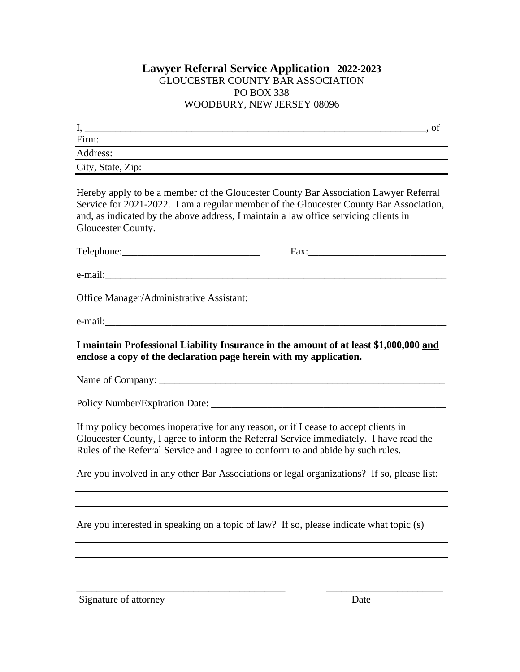## **Lawyer Referral Service Application 2022-2023** GLOUCESTER COUNTY BAR ASSOCIATION PO BOX 338 WOODBURY, NEW JERSEY 08096

| д.                |  |
|-------------------|--|
| Firm:             |  |
| Address:          |  |
| City, State, Zip: |  |

Hereby apply to be a member of the Gloucester County Bar Association Lawyer Referral Service for 2021-2022. I am a regular member of the Gloucester County Bar Association, and, as indicated by the above address, I maintain a law office servicing clients in Gloucester County.

| e-mail:                                                                                                                                                     |  |
|-------------------------------------------------------------------------------------------------------------------------------------------------------------|--|
| Office Manager/Administrative Assistant:                                                                                                                    |  |
|                                                                                                                                                             |  |
|                                                                                                                                                             |  |
| I maintain Professional Liability Insurance in the amount of at least \$1,000,000 and<br>enclose a copy of the declaration page herein with my application. |  |

Name of Company: \_\_\_\_\_\_\_\_\_\_\_\_\_\_\_\_\_\_\_\_\_\_\_\_\_\_\_\_\_\_\_\_\_\_\_\_\_\_\_\_\_\_\_\_\_\_\_\_\_\_\_\_\_\_\_\_

Policy Number/Expiration Date: \_\_\_\_\_\_\_\_\_\_\_\_\_\_\_\_\_\_\_\_\_\_\_\_\_\_\_\_\_\_\_\_\_\_\_\_\_\_\_\_\_\_\_\_\_\_

If my policy becomes inoperative for any reason, or if I cease to accept clients in Gloucester County, I agree to inform the Referral Service immediately. I have read the Rules of the Referral Service and I agree to conform to and abide by such rules.

Are you involved in any other Bar Associations or legal organizations? If so, please list:

Are you interested in speaking on a topic of law? If so, please indicate what topic (s)

Signature of attorney Date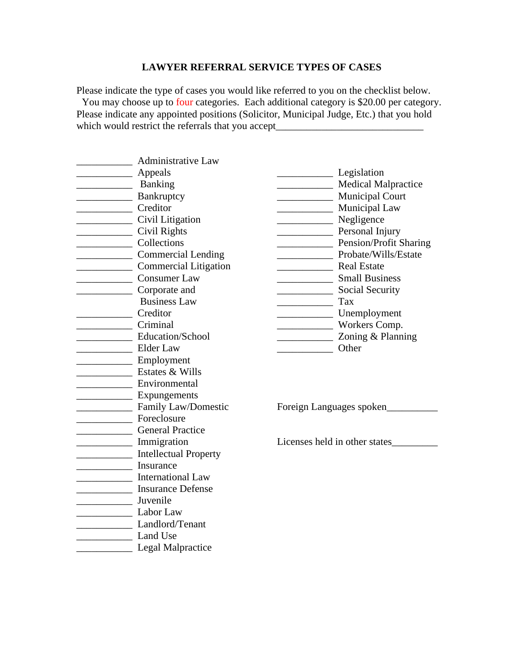## **LAWYER REFERRAL SERVICE TYPES OF CASES**

Please indicate the type of cases you would like referred to you on the checklist below. You may choose up to four categories. Each additional category is \$20.00 per category. Please indicate any appointed positions (Solicitor, Municipal Judge, Etc.) that you hold which would restrict the referrals that you accept\_\_\_\_\_\_\_\_\_\_\_\_\_\_\_\_\_\_\_\_\_\_\_\_\_\_\_\_\_

| <b>Administrative Law</b>                                                                                                                                                                                                                                                                                                                                                                                                                                                                             |                                                    |
|-------------------------------------------------------------------------------------------------------------------------------------------------------------------------------------------------------------------------------------------------------------------------------------------------------------------------------------------------------------------------------------------------------------------------------------------------------------------------------------------------------|----------------------------------------------------|
| Appeals                                                                                                                                                                                                                                                                                                                                                                                                                                                                                               | Legislation                                        |
| Banking                                                                                                                                                                                                                                                                                                                                                                                                                                                                                               | Medical Malpractice                                |
| Bankruptcy                                                                                                                                                                                                                                                                                                                                                                                                                                                                                            | <b>Municipal Court</b><br>$\overline{\phantom{a}}$ |
| Creditor                                                                                                                                                                                                                                                                                                                                                                                                                                                                                              | Municipal Law                                      |
| Civil Litigation                                                                                                                                                                                                                                                                                                                                                                                                                                                                                      | Negligence                                         |
| Civil Rights<br><u> 1989 - Johann Barnett, fransk konge</u>                                                                                                                                                                                                                                                                                                                                                                                                                                           | Personal Injury                                    |
| Collections                                                                                                                                                                                                                                                                                                                                                                                                                                                                                           | Pension/Profit Sharing                             |
| Commercial Lending                                                                                                                                                                                                                                                                                                                                                                                                                                                                                    | Probate/Wills/Estate                               |
| <b>Commercial Litigation</b>                                                                                                                                                                                                                                                                                                                                                                                                                                                                          | Real Estate                                        |
| <b>Consumer Law</b>                                                                                                                                                                                                                                                                                                                                                                                                                                                                                   | <b>Small Business</b>                              |
| Corporate and                                                                                                                                                                                                                                                                                                                                                                                                                                                                                         | Social Security                                    |
| <b>Business Law</b>                                                                                                                                                                                                                                                                                                                                                                                                                                                                                   | $\frac{1}{2}$ Tax                                  |
| Creditor                                                                                                                                                                                                                                                                                                                                                                                                                                                                                              | Unemployment                                       |
| Criminal                                                                                                                                                                                                                                                                                                                                                                                                                                                                                              | Workers Comp.                                      |
| Education/School                                                                                                                                                                                                                                                                                                                                                                                                                                                                                      | Zoning & Planning                                  |
| Elder Law                                                                                                                                                                                                                                                                                                                                                                                                                                                                                             | Other                                              |
| Employment                                                                                                                                                                                                                                                                                                                                                                                                                                                                                            |                                                    |
| Estates & Wills                                                                                                                                                                                                                                                                                                                                                                                                                                                                                       |                                                    |
| Environmental                                                                                                                                                                                                                                                                                                                                                                                                                                                                                         |                                                    |
| <b>Expungements</b>                                                                                                                                                                                                                                                                                                                                                                                                                                                                                   |                                                    |
| Family Law/Domestic                                                                                                                                                                                                                                                                                                                                                                                                                                                                                   | Foreign Languages spoken                           |
| Foreclosure                                                                                                                                                                                                                                                                                                                                                                                                                                                                                           |                                                    |
| General Practice                                                                                                                                                                                                                                                                                                                                                                                                                                                                                      |                                                    |
| Immigration<br>$\begin{array}{cccccccccc} \multicolumn{2}{c}{} & \multicolumn{2}{c}{} & \multicolumn{2}{c}{} & \multicolumn{2}{c}{} & \multicolumn{2}{c}{} & \multicolumn{2}{c}{} & \multicolumn{2}{c}{} & \multicolumn{2}{c}{} & \multicolumn{2}{c}{} & \multicolumn{2}{c}{} & \multicolumn{2}{c}{} & \multicolumn{2}{c}{} & \multicolumn{2}{c}{} & \multicolumn{2}{c}{} & \multicolumn{2}{c}{} & \multicolumn{2}{c}{} & \multicolumn{2}{c}{} & \multicolumn{2}{c}{} & \multicolumn{2}{c}{} & \mult$ | Licenses held in other states                      |
| <b>Intellectual Property</b><br>$\overline{\phantom{a}}$                                                                                                                                                                                                                                                                                                                                                                                                                                              |                                                    |
| Insurance                                                                                                                                                                                                                                                                                                                                                                                                                                                                                             |                                                    |
| International Law                                                                                                                                                                                                                                                                                                                                                                                                                                                                                     |                                                    |
| Insurance Defense                                                                                                                                                                                                                                                                                                                                                                                                                                                                                     |                                                    |
| Juvenile<br>$\overline{a}$                                                                                                                                                                                                                                                                                                                                                                                                                                                                            |                                                    |
| Labor Law                                                                                                                                                                                                                                                                                                                                                                                                                                                                                             |                                                    |
| Landlord/Tenant                                                                                                                                                                                                                                                                                                                                                                                                                                                                                       |                                                    |
| <b>Example 1</b> Land Use                                                                                                                                                                                                                                                                                                                                                                                                                                                                             |                                                    |
| <b>Legal Malpractice</b>                                                                                                                                                                                                                                                                                                                                                                                                                                                                              |                                                    |